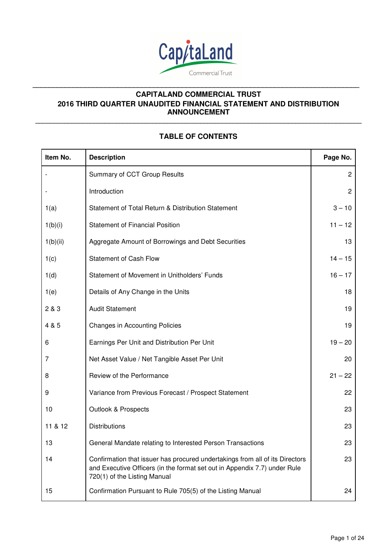

**\_\_\_\_\_\_\_\_\_\_\_\_\_\_\_\_\_\_\_\_\_\_\_\_\_\_\_\_\_\_\_\_\_\_\_\_\_\_\_\_\_\_\_\_\_\_\_\_\_\_\_\_\_\_\_\_\_\_\_\_\_\_\_\_\_\_\_\_\_\_\_\_\_\_\_\_\_\_\_\_\_\_\_\_\_\_\_\_\_**

**\_\_\_\_\_\_\_\_\_\_\_\_\_\_\_\_\_\_\_\_\_\_\_\_\_\_\_\_\_\_\_\_\_\_\_\_\_\_\_\_\_\_\_\_\_\_\_\_\_\_\_\_\_\_\_\_\_\_\_\_\_\_\_\_\_\_\_\_\_\_\_\_\_\_\_\_\_\_\_\_\_** 

# **TABLE OF CONTENTS**

| Item No. | <b>Description</b>                                                                                                                                                                        | Page No.       |
|----------|-------------------------------------------------------------------------------------------------------------------------------------------------------------------------------------------|----------------|
|          | Summary of CCT Group Results                                                                                                                                                              | $\overline{c}$ |
|          | Introduction                                                                                                                                                                              | $\overline{2}$ |
| 1(a)     | Statement of Total Return & Distribution Statement                                                                                                                                        | $3 - 10$       |
| 1(b)(i)  | <b>Statement of Financial Position</b>                                                                                                                                                    | $11 - 12$      |
| 1(b)(ii) | Aggregate Amount of Borrowings and Debt Securities                                                                                                                                        | 13             |
| 1(c)     | <b>Statement of Cash Flow</b>                                                                                                                                                             | $14 - 15$      |
| 1(d)     | Statement of Movement in Unitholders' Funds                                                                                                                                               | $16 - 17$      |
| 1(e)     | Details of Any Change in the Units                                                                                                                                                        | 18             |
| 2 & 3    | <b>Audit Statement</b>                                                                                                                                                                    | 19             |
| 4 & 5    | <b>Changes in Accounting Policies</b>                                                                                                                                                     | 19             |
| 6        | Earnings Per Unit and Distribution Per Unit                                                                                                                                               | $19 - 20$      |
| 7        | Net Asset Value / Net Tangible Asset Per Unit                                                                                                                                             | 20             |
| 8        | Review of the Performance                                                                                                                                                                 | $21 - 22$      |
| 9        | Variance from Previous Forecast / Prospect Statement                                                                                                                                      | 22             |
| 10       | <b>Outlook &amp; Prospects</b>                                                                                                                                                            | 23             |
| 11 & 12  | <b>Distributions</b>                                                                                                                                                                      | 23             |
| 13       | General Mandate relating to Interested Person Transactions                                                                                                                                | 23             |
| 14       | Confirmation that issuer has procured undertakings from all of its Directors<br>and Executive Officers (in the format set out in Appendix 7.7) under Rule<br>720(1) of the Listing Manual | 23             |
| 15       | Confirmation Pursuant to Rule 705(5) of the Listing Manual                                                                                                                                | 24             |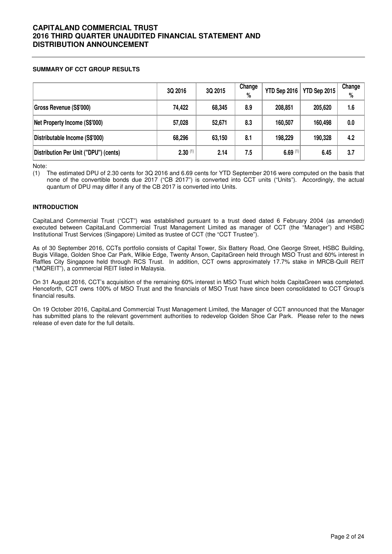### **SUMMARY OF CCT GROUP RESULTS**

|                                       | 3Q 2016      | 3Q 2015 | Change<br>% | YTD Sep 2016         | YTD Sep 2015 | Change<br>% |
|---------------------------------------|--------------|---------|-------------|----------------------|--------------|-------------|
| Gross Revenue (S\$'000)               | 74,422       | 68,345  | 8.9         | 208,851              | 205,620      | 1.6         |
| Net Property Income (S\$'000)         | 57,028       | 52,671  | 8.3         | 160,507              | 160,498      | 0.0         |
| Distributable Income (S\$'000)        | 68,296       | 63,150  | 8.1         | 198,229              | 190,328      | 4.2         |
| Distribution Per Unit ("DPU") (cents) | $2.30^{(1)}$ | 2.14    | 7.5         | $6.69$ <sup>(1</sup> | 6.45         | 3.7         |

Note:

(1) The estimated DPU of 2.30 cents for 3Q 2016 and 6.69 cents for YTD September 2016 were computed on the basis that none of the convertible bonds due 2017 ("CB 2017") is converted into CCT units ("Units"). Accordingly, the actual quantum of DPU may differ if any of the CB 2017 is converted into Units.

### **INTRODUCTION**

CapitaLand Commercial Trust ("CCT") was established pursuant to a trust deed dated 6 February 2004 (as amended) executed between CapitaLand Commercial Trust Management Limited as manager of CCT (the "Manager") and HSBC Institutional Trust Services (Singapore) Limited as trustee of CCT (the "CCT Trustee").

As of 30 September 2016, CCTs portfolio consists of Capital Tower, Six Battery Road, One George Street, HSBC Building, Bugis Village, Golden Shoe Car Park, Wilkie Edge, Twenty Anson, CapitaGreen held through MSO Trust and 60% interest in Raffles City Singapore held through RCS Trust. In addition, CCT owns approximately 17.7% stake in MRCB-Quill REIT ("MQREIT"), a commercial REIT listed in Malaysia.

On 31 August 2016, CCT's acquisition of the remaining 60% interest in MSO Trust which holds CapitaGreen was completed. Henceforth, CCT owns 100% of MSO Trust and the financials of MSO Trust have since been consolidated to CCT Group's financial results.

On 19 October 2016, CapitaLand Commercial Trust Management Limited, the Manager of CCT announced that the Manager has submitted plans to the relevant government authorities to redevelop Golden Shoe Car Park. Please refer to the news release of even date for the full details.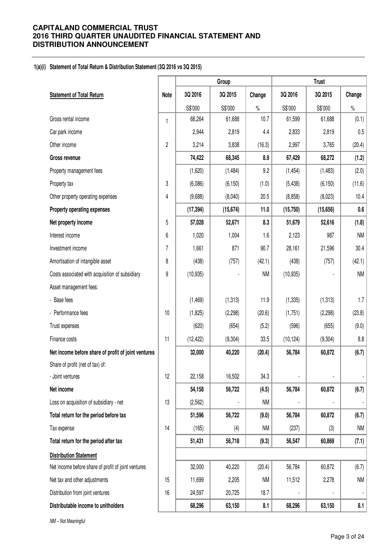## **1(a)(i) Statement of Total Return & Distribution Statement (3Q 2016 vs 3Q 2015)**

|                                                     |                | Group     |           |           | <b>Trust</b> |           |                          |  |
|-----------------------------------------------------|----------------|-----------|-----------|-----------|--------------|-----------|--------------------------|--|
| <b>Statement of Total Return</b>                    | Note           | 3Q 2016   | 3Q 2015   | Change    | 3Q 2016      | 3Q 2015   | Change                   |  |
|                                                     |                | S\$'000   | S\$'000   | $\%$      | S\$'000      | S\$'000   | $\%$                     |  |
| Gross rental income                                 | $\mathbf{1}$   | 68,264    | 61,688    | 10.7      | 61,599       | 61,688    | (0.1)                    |  |
| Car park income                                     |                | 2,944     | 2,819     | 4.4       | 2,833        | 2,819     | 0.5                      |  |
| Other income                                        | $\overline{2}$ | 3,214     | 3,838     | (16.3)    | 2,997        | 3,765     | (20.4)                   |  |
| Gross revenue                                       |                | 74,422    | 68,345    | 8.9       | 67,429       | 68,272    | (1.2)                    |  |
| Property management fees                            |                | (1,620)   | (1,484)   | 9.2       | (1, 454)     | (1, 483)  | (2.0)                    |  |
| Property tax                                        | 3              | (6,086)   | (6, 150)  | (1.0)     | (5, 438)     | (6, 150)  | (11.6)                   |  |
| Other property operating expenses                   | 4              | (9,688)   | (8,040)   | 20.5      | (8, 858)     | (8,023)   | 10.4                     |  |
| Property operating expenses                         |                | (17, 394) | (15, 674) | 11.0      | (15, 750)    | (15, 656) | $0.6\,$                  |  |
| Net property income                                 | 5              | 57,028    | 52,671    | 8.3       | 51,679       | 52,616    | (1.8)                    |  |
| Interest income                                     | 6              | 1,020     | 1,004     | 1.6       | 2,123        | 987       | NM                       |  |
| Investment income                                   | $\overline{7}$ | 1,661     | 871       | 90.7      | 28,161       | 21,596    | 30.4                     |  |
| Amortisation of intangible asset                    | 8              | (438)     | (757)     | (42.1)    | (438)        | (757)     | (42.1)                   |  |
| Costs associated with acquisition of subsidiary     | 9              | (10, 935) |           | <b>NM</b> | (10, 935)    |           | <b>NM</b>                |  |
| Asset management fees:                              |                |           |           |           |              |           |                          |  |
| - Base fees                                         |                | (1, 469)  | (1, 313)  | 11.9      | (1, 335)     | (1, 313)  | 1.7                      |  |
| - Performance fees                                  | 10             | (1,825)   | (2,298)   | (20.6)    | (1,751)      | (2, 298)  | (23.8)                   |  |
| Trust expenses                                      |                | (620)     | (654)     | (5.2)     | (596)        | (655)     | (9.0)                    |  |
| Finance costs                                       | 11             | (12, 422) | (9, 304)  | 33.5      | (10, 124)    | (9, 304)  | 8.8                      |  |
| Net income before share of profit of joint ventures |                | 32,000    | 40,220    | (20.4)    | 56,784       | 60,872    | (6.7)                    |  |
| Share of profit (net of tax) of:                    |                |           |           |           |              |           |                          |  |
| - Joint ventures                                    | 12             | 22,158    | 16,502    | 34.3      |              |           |                          |  |
| Net income                                          |                | 54,158    | 56,722    | (4.5)     | 56,784       | 60,872    | (6.7)                    |  |
| Loss on acquisition of subsidiary - net             | 13             | (2, 562)  |           | <b>NM</b> |              |           |                          |  |
| Total return for the period before tax              |                | 51,596    | 56,722    | (9.0)     | 56,784       | 60,872    | (6.7)                    |  |
| Tax expense                                         | 14             | (165)     | (4)       | <b>NM</b> | (237)        | (3)       | NM                       |  |
| Total return for the period after tax               |                | 51,431    | 56,718    | (9.3)     | 56,547       | 60,869    | (7.1)                    |  |
| <b>Distribution Statement</b>                       |                |           |           |           |              |           |                          |  |
| Net income before share of profit of joint ventures |                | 32,000    | 40,220    | (20.4)    | 56,784       | 60,872    | (6.7)                    |  |
| Net tax and other adjustments                       | 15             | 11,699    | 2,205     | <b>NM</b> | 11,512       | 2,278     | <b>NM</b>                |  |
| Distribution from joint ventures                    | $16$           | 24,597    | 20,725    | 18.7      |              |           | $\overline{\phantom{a}}$ |  |
| Distributable income to unitholders                 |                | 68,296    | 63,150    | 8.1       | 68,296       | 63,150    | 8.1                      |  |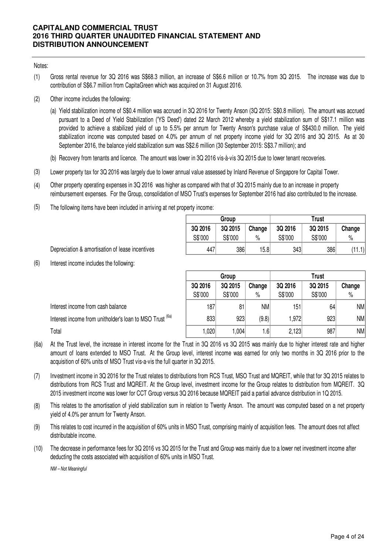## Notes:

- (1) Gross rental revenue for 3Q 2016 was S\$68.3 million, an increase of S\$6.6 million or 10.7% from 3Q 2015. The increase was due to contribution of S\$6.7 million from CapitaGreen which was acquired on 31 August 2016.
- (2) Other income includes the following:
	- (a) Yield stabilization income of S\$0.4 million was accrued in 3Q 2016 for Twenty Anson (3Q 2015: S\$0.8 million). The amount was accrued pursuant to a Deed of Yield Stabilization ('YS Deed') dated 22 March 2012 whereby a yield stabilization sum of S\$17.1 million was provided to achieve a stabilized yield of up to 5.5% per annum for Twenty Anson's purchase value of S\$430.0 million. The yield stabilization income was computed based on 4.0% per annum of net property income yield for 3Q 2016 and 3Q 2015. As at 30 September 2016, the balance yield stabilization sum was S\$2.6 million (30 September 2015: S\$3.7 million); and
	- (b) Recovery from tenants and licence. The amount was lower in 3Q 2016 vis-à-vis 3Q 2015 due to lower tenant recoveries.
- (3) Lower property tax for 3Q 2016 was largely due to lower annual value assessed by Inland Revenue of Singapore for Capital Tower.
- (4) Other property operating expenses in 3Q 2016 was higher as compared with that of 3Q 2015 mainly due to an increase in property reimbursement expenses. For the Group, consolidation of MSO Trust's expenses for September 2016 had also contributed to the increase.
- (5) The following items have been included in arriving at net property income:

|         | Group   |        |         | Trust   |        |
|---------|---------|--------|---------|---------|--------|
| 3Q 2016 | 3Q 2015 | Change | 3Q 2016 | 3Q 2015 | Change |
| S\$'000 | S\$'000 | $\%$   | S\$'000 | S\$'000 | $\%$   |
| 447     | 386     | 15.8   | 343     | 386     | (11.1) |

Depreciation & amortisation of lease incentives

(6) Interest income includes the following:

|                                                                     |                              | Group   |           | <b>Trust</b> |         |      |  |
|---------------------------------------------------------------------|------------------------------|---------|-----------|--------------|---------|------|--|
|                                                                     | 3Q 2015<br>3Q 2016<br>Change |         |           | 3Q 2016      | 3Q 2015 |      |  |
|                                                                     | S\$'000                      | S\$'000 | $\%$      | S\$'000      | S\$'000 | $\%$ |  |
| Interest income from cash balance                                   | 187                          | 81      | <b>NM</b> | 151          | 64      | NM   |  |
| Interest income from unitholder's loan to MSO Trust <sup>(6a)</sup> | 833                          | 923     | (9.8)     | 972. ا       | 923     | NM   |  |
| Total                                                               | 020                          | 1,004   | 1.6       | 2,123        | 987     | NM   |  |

- (6a) At the Trust level, the increase in interest income for the Trust in 3Q 2016 vs 3Q 2015 was mainly due to higher interest rate and higher amount of loans extended to MSO Trust. At the Group level, interest income was earned for only two months in 3Q 2016 prior to the acquisition of 60% units of MSO Trust vis-a-vis the full quarter in 3Q 2015.
- (7) Investment income in 3Q 2016 for the Trust relates to distributions from RCS Trust, MSO Trust and MQREIT, while that for 3Q 2015 relates to distributions from RCS Trust and MQREIT. At the Group level, investment income for the Group relates to distribution from MQREIT. 3Q 2015 investment income was lower for CCT Group versus 3Q 2016 because MQREIT paid a partial advance distribution in 1Q 2015.
- (8) This relates to the amortisation of yield stabilization sum in relation to Twenty Anson. The amount was computed based on a net property yield of 4.0% per annum for Twenty Anson.
- (9) This relates to cost incurred in the acquisition of 60% units in MSO Trust, comprising mainly of acquisition fees. The amount does not affect distributable income.
- (10) The decrease in performance fees for 3Q 2016 vs 3Q 2015 for the Trust and Group was mainly due to a lower net investment income after deducting the costs associated with acquisition of 60% units in MSO Trust.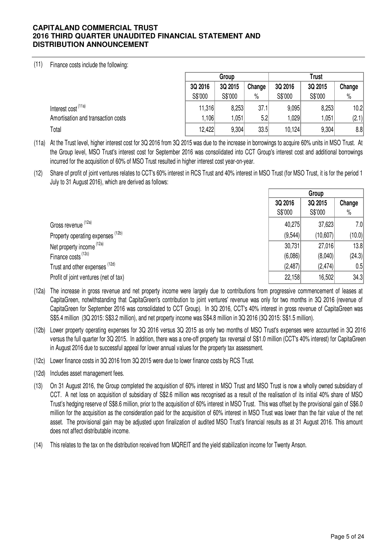## (11) Finance costs include the following:

|                                    |         | Group   |        |         | <b>Trust</b> |        |
|------------------------------------|---------|---------|--------|---------|--------------|--------|
|                                    | 3Q 2016 | 3Q 2015 | Change | 3Q 2016 | 3Q 2015      | Change |
|                                    | S\$'000 | S\$'000 | $\%$   | S\$'000 | S\$'000      | $\%$   |
| Interest cost (11a)                | 11,316  | 8,253   | 37.1   | 9,095   | 8,253        | 10.2   |
| Amortisation and transaction costs | 1,106   | 1,051   | 5.2    | .029    | 0.051        | (2.1)  |
| Total                              | 12,422  | 9,304   | 33.5   | 10,124  | 9,304        | 8.8    |

(11a) At the Trust level, higher interest cost for 3Q 2016 from 3Q 2015 was due to the increase in borrowings to acquire 60% units in MSO Trust. At the Group level, MSO Trust's interest cost for September 2016 was consolidated into CCT Group's interest cost and additional borrowings incurred for the acquisition of 60% of MSO Trust resulted in higher interest cost year-on-year.

(12) Share of profit of joint ventures relates to CCT's 60% interest in RCS Trust and 40% interest in MSO Trust (for MSO Trust, it is for the period 1 July to 31 August 2016), which are derived as follows:

|                                       |         | Group    |        |
|---------------------------------------|---------|----------|--------|
|                                       | 3Q 2016 | 3Q 2015  | Change |
|                                       | S\$'000 | S\$'000  | $\%$   |
| Gross revenue (12a)                   | 40,275  | 37,623   | 7.0    |
| Property operating expenses (12b)     | (9,544) | (10,607) | (10.0) |
| Net property income (12a)             | 30,731  | 27,016   | 13.8   |
| Finance costs (12c)                   | (6,086) | (8,040)  | (24.3) |
| Trust and other expenses (12d)        | (2,487) | (2,474)  | 0.5    |
| Profit of joint ventures (net of tax) | 22,158  | 16,502   | 34.3   |

- (12a) The increase in gross revenue and net property income were largely due to contributions from progressive commencement of leases at CapitaGreen, notwithstanding that CapitaGreen's contribution to joint ventures' revenue was only for two months in 3Q 2016 (revenue of CapitaGreen for September 2016 was consolidated to CCT Group). In 3Q 2016, CCT's 40% interest in gross revenue of CapitaGreen was S\$5.4 million (3Q 2015: S\$3.2 million), and net property income was S\$4.8 million in 3Q 2016 (3Q 2015: S\$1.5 million).
- (12b) Lower property operating expenses for 3Q 2016 versus 3Q 2015 as only two months of MSO Trust's expenses were accounted in 3Q 2016 versus the full quarter for 3Q 2015. In addition, there was a one-off property tax reversal of S\$1.0 million (CCT's 40% interest) for CapitaGreen in August 2016 due to successful appeal for lower annual values for the property tax assessment.
- (12c) Lower finance costs in 3Q 2016 from 3Q 2015 were due to lower finance costs by RCS Trust.
- (12d) Includes asset management fees.
- (13) On 31 August 2016, the Group completed the acquisition of 60% interest in MSO Trust and MSO Trust is now a wholly owned subsidiary of CCT. A net loss on acquisition of subsidiary of S\$2.6 million was recognised as a result of the realisation of its initial 40% share of MSO Trust's hedging reserve of S\$8.6 million, prior to the acquisition of 60% interest in MSO Trust. This was offset by the provisional gain of S\$6.0 million for the acquisition as the consideration paid for the acquisition of 60% interest in MSO Trust was lower than the fair value of the net asset. The provisional gain may be adjusted upon finalization of audited MSO Trust's financial results as at 31 August 2016. This amount does not affect distributable income.
- (14) This relates to the tax on the distribution received from MQREIT and the yield stabilization income for Twenty Anson.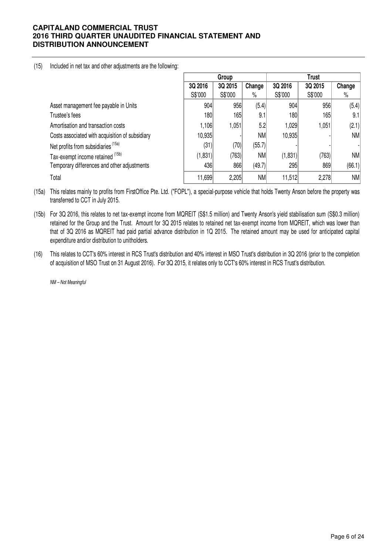(15) Included in net tax and other adjustments are the following:

|                                                 |         | Group   |           |         | Trust   |           |
|-------------------------------------------------|---------|---------|-----------|---------|---------|-----------|
|                                                 | 3Q 2016 | 3Q 2015 | Change    | 3Q 2016 | 3Q 2015 | Change    |
|                                                 | S\$'000 | S\$'000 | $\%$      | S\$'000 | S\$'000 | %         |
| Asset management fee payable in Units           | 904     | 956     | (5.4)     | 904     | 956     | (5.4)     |
| Trustee's fees                                  | 180     | 165     | 9.1       | 180     | 165     | 9.1       |
| Amortisation and transaction costs              | 1,106   | 1,051   | 5.2       | 1,029   | 1,051   | (2.1)     |
| Costs associated with acquisition of subsidiary | 10,935  |         | <b>NM</b> | 10,935  |         | NM        |
| Net profits from subsidiaries (15a)             | (31)    | (70)    | (55.7)    |         |         |           |
| Tax-exempt income retained (15b)                | (1,831) | (763)   | <b>NM</b> | (1,831) | (763)   | NM        |
| Temporary differences and other adjustments     | 436     | 866     | (49.7)    | 295     | 869     | (66.1)    |
| Total                                           | 11,699  | 2,205   | <b>NM</b> | 11,512  | 2,278   | <b>NM</b> |

(15a) This relates mainly to profits from FirstOffice Pte. Ltd. ("FOPL"), a special-purpose vehicle that holds Twenty Anson before the property was transferred to CCT in July 2015.

(15b) For 3Q 2016, this relates to net tax-exempt income from MQREIT (S\$1.5 million) and Twenty Anson's yield stabilisation sum (S\$0.3 million) retained for the Group and the Trust. Amount for 3Q 2015 relates to retained net tax-exempt income from MQREIT, which was lower than that of 3Q 2016 as MQREIT had paid partial advance distribution in 1Q 2015. The retained amount may be used for anticipated capital expenditure and/or distribution to unitholders.

(16) This relates to CCT's 60% interest in RCS Trust's distribution and 40% interest in MSO Trust's distribution in 3Q 2016 (prior to the completion of acquisition of MSO Trust on 31 August 2016). For 3Q 2015, it relates only to CCT's 60% interest in RCS Trust's distribution.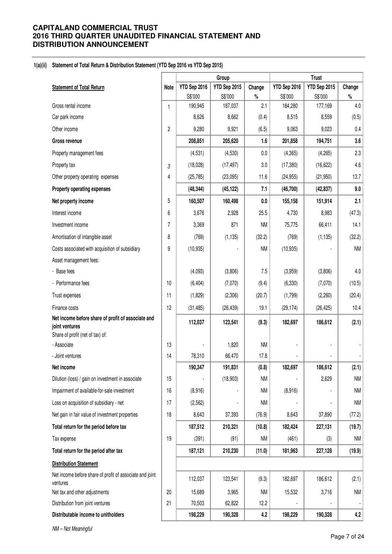### **1(a)(ii) Statement of Total Return & Distribution Statement (YTD Sep 2016 vs YTD Sep 2015)**

|                                                                      |      | Group        |              |              | <b>Trust</b>     |              |           |
|----------------------------------------------------------------------|------|--------------|--------------|--------------|------------------|--------------|-----------|
| <b>Statement of Total Return</b>                                     | Note | YTD Sep 2016 | YTD Sep 2015 | Change       | YTD Sep 2016     | YTD Sep 2015 | Change    |
| Gross rental income                                                  |      | S\$'000      | S\$'000      | $\%$         | S\$'000          | S\$'000      | $\%$      |
|                                                                      | 1    | 190,945      | 187,037      | 2.1<br>(0.4) | 184,280<br>8,515 | 177,169      | 4.0       |
| Car park income                                                      |      | 8,626        | 8,662        |              |                  | 8,559        | (0.5)     |
| Other income                                                         | 2    | 9,280        | 9,921        | (6.5)        | 9,063            | 9,023        | 0.4       |
| Gross revenue                                                        |      | 208,851      | 205,620      | 1.6          | 201,858          | 194,751      | 3.6       |
| Property management fees                                             |      | (4,531)      | (4,530)      | 0.0          | (4, 365)         | (4, 265)     | 2.3       |
| Property tax                                                         | 3    | (18,028)     | (17, 497)    | 3.0          | (17, 380)        | (16, 622)    | 4.6       |
| Other property operating expenses                                    | 4    | (25, 785)    | (23,095)     | 11.6         | (24, 955)        | (21, 950)    | 13.7      |
| Property operating expenses                                          |      | (48, 344)    | (45, 122)    | 7.1          | (46, 700)        | (42, 837)    | 9.0       |
| Net property income                                                  | 5    | 160,507      | 160,498      | 0.0          | 155,158          | 151,914      | 2.1       |
| Interest income                                                      | 6    | 3,676        | 2,928        | 25.5         | 4,730            | 8,983        | (47.3)    |
| Investment income                                                    | 7    | 3,369        | 871          | <b>NM</b>    | 75,775           | 66,411       | 14.1      |
| Amortisation of intangible asset                                     | 8    | (769)        | (1, 135)     | (32.2)       | (769)            | (1, 135)     | (32.2)    |
| Costs associated with acquisition of subsidiary                      | 9    | (10, 935)    |              | <b>NM</b>    | (10, 935)        |              | <b>NM</b> |
| Asset management fees:                                               |      |              |              |              |                  |              |           |
| - Base fees                                                          |      | (4,093)      | (3,806)      | 7.5          | (3,959)          | (3,806)      | 4.0       |
| - Performance fees                                                   | 10   | (6, 404)     | (7,070)      | (9.4)        | (6, 330)         | (7,070)      | (10.5)    |
| Trust expenses                                                       | 11   | (1,829)      | (2,306)      | (20.7)       | (1,799)          | (2, 260)     | (20.4)    |
| Finance costs                                                        | 12   | (31, 485)    | (26, 439)    | 19.1         | (29, 174)        | (26, 425)    | 10.4      |
| Net income before share of profit of associate and                   |      | 112,037      | 123,541      | (9.3)        | 182,697          | 186,612      | (2.1)     |
| joint ventures<br>Share of profit (net of tax) of:                   |      |              |              |              |                  |              |           |
| - Associate                                                          | 13   |              | 1,820        | <b>NM</b>    |                  |              |           |
| - Joint ventures                                                     | 14   | 78,310       | 66,470       | 17.8         |                  |              |           |
| Net income                                                           |      | 190,347      | 191,831      | (0.8)        | 182,697          | 186,612      | (2.1)     |
| Dilution (loss) / gain on investment in associate                    | 15   |              | (18, 903)    | <b>NM</b>    |                  | 2,629        | <b>NM</b> |
| Impairment of available-for-sale investment                          | 16   | (8,916)      |              | ΝM           | (8,916)          |              | <b>NM</b> |
| Loss on acquisition of subsidiary - net                              | 17   | (2, 562)     |              | ΝM           |                  |              | ΝM        |
| Net gain in fair value of investment properties                      | 18   | 8,643        | 37,393       | (76.9)       | 8,643            | 37,890       | (77.2)    |
| Total return for the period before tax                               |      | 187,512      | 210,321      | (10.8)       | 182,424          | 227,131      | (19.7)    |
| Tax expense                                                          | 19   | (391)        | (91)         | ΝM           | (461)            | (3)          | ΝM        |
| Total return for the period after tax                                |      | 187,121      | 210,230      | (11.0)       | 181,963          | 227,128      | (19.9)    |
| <b>Distribution Statement</b>                                        |      |              |              |              |                  |              |           |
| Net income before share of profit of associate and joint<br>ventures |      | 112,037      | 123,541      | (9.3)        | 182,697          | 186,612      | (2.1)     |
| Net tax and other adjustments                                        | 20   | 15,689       | 3,965        | ΝM           | 15,532           | 3,716        | <b>NM</b> |
| Distribution from joint ventures                                     | 21   | 70,503       | 62,822       | 12.2         |                  |              |           |
| Distributable income to unitholders                                  |      | 198,229      | 190,328      | 4.2          | 198,229          | 190,328      | 4.2       |
|                                                                      |      |              |              |              |                  |              |           |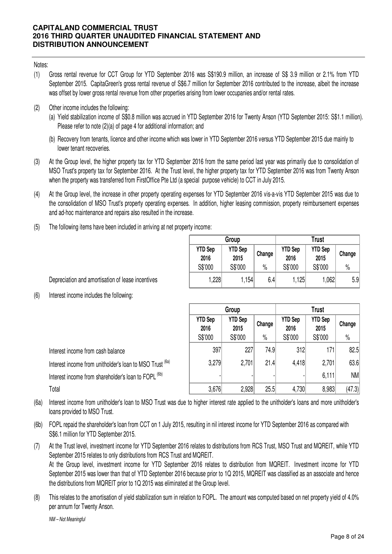Notes:

- (1) Gross rental revenue for CCT Group for YTD September 2016 was S\$190.9 million, an increase of S\$ 3.9 million or 2.1% from YTD September 2015. CapitaGreen's gross rental revenue of S\$6.7 million for September 2016 contributed to the increase, albeit the increase was offset by lower gross rental revenue from other properties arising from lower occupanies and/or rental rates.
- (2) Other income includes the following:
	- (a) Yield stabilization income of S\$0.8 million was accrued in YTD September 2016 for Twenty Anson (YTD September 2015: S\$1.1 million). Please refer to note (2)(a) of page 4 for additional information; and
	- (b) Recovery from tenants, licence and other income which was lower in YTD September 2016 versus YTD September 2015 due mainly to lower tenant recoveries.
- (3) At the Group level, the higher property tax for YTD September 2016 from the same period last year was primarily due to consolidation of MSO Trust's property tax for September 2016. At the Trust level, the higher property tax for YTD September 2016 was from Twenty Anson when the property was transferred from FirstOffice Pte Ltd (a special purpose vehicle) to CCT in July 2015.
- (4) At the Group level, the increase in other property operating expenses for YTD September 2016 vis-a-vis YTD September 2015 was due to the consolidation of MSO Trust's property operating expenses. In addition, higher leasing commission, property reimbursement expenses and ad-hoc maintenance and repairs also resulted in the increase.
- (5) The following items have been included in arriving at net property income:

|                        | Group                  |        |                        | Trust                  |        |
|------------------------|------------------------|--------|------------------------|------------------------|--------|
| <b>YTD Sep</b><br>2016 | <b>YTD Sep</b><br>2015 | Change | <b>YTD Sep</b><br>2016 | <b>YTD Sep</b><br>2015 | Change |
| S\$'000                | S\$'000                | $\%$   | S\$'000                | S\$'000                | $\%$   |
| 1,228                  | 1,154                  | 6.4    | 1,125                  | 1,062                  | 5.9    |

Depreciation and amortisation of lease incentives

(6) Interest income includes the following:

|                                                                 |                        | Group                  |        | <b>Trust</b>           |                        |        |  |
|-----------------------------------------------------------------|------------------------|------------------------|--------|------------------------|------------------------|--------|--|
|                                                                 | <b>YTD Sep</b><br>2016 | <b>YTD Sep</b><br>2015 | Change | <b>YTD Sep</b><br>2016 | <b>YTD Sep</b><br>2015 | Change |  |
|                                                                 | S\$'000                | S\$'000                | $\%$   | S\$'000                | S\$'000                | $\%$   |  |
| Interest income from cash balance                               | 397                    | 227                    | 74.9   | 312                    | 171                    | 82.5   |  |
| Interest income from unitholder's loan to MSO Trust (6a)        | 3,279                  | 2,701                  | 21.4   | 4,418                  | 2,701                  | 63.6   |  |
| Interest income from shareholder's loan to FOPL <sup>(6b)</sup> |                        |                        |        |                        | 6,111                  | NM     |  |
| Total                                                           | 3,676                  | 2,928                  | 25.5   | 4,730                  | 8,983                  | (47.3) |  |

(6a) Interest income from unitholder's loan to MSO Trust was due to higher interest rate applied to the unitholder's loans and more unitholder's loans provided to MSO Trust.

(6b) FOPL repaid the shareholder's loan from CCT on 1 July 2015, resulting in nil interest income for YTD September 2016 as compared with S\$6.1 million for YTD September 2015.

(7) At the Trust level, investment income for YTD September 2016 relates to distributions from RCS Trust, MSO Trust and MQREIT, while YTD September 2015 relates to only distributions from RCS Trust and MQREIT. At the Group level, investment income for YTD September 2016 relates to distribution from MQREIT. Investment income for YTD September 2015 was lower than that of YTD September 2016 because prior to 1Q 2015, MQREIT was classified as an associate and hence the distributions from MQREIT prior to 1Q 2015 was eliminated at the Group level.

(8) This relates to the amortisation of yield stabilization sum in relation to FOPL. The amount was computed based on net property yield of 4.0% per annum for Twenty Anson.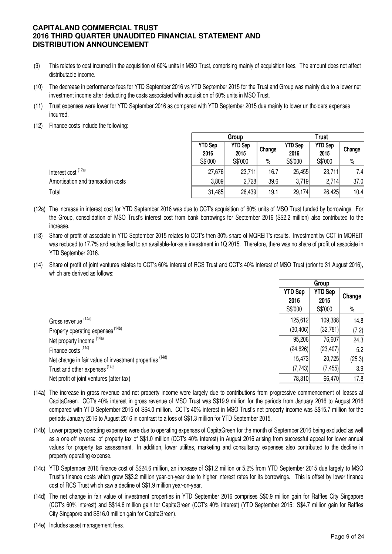- (9) This relates to cost incurred in the acquisition of 60% units in MSO Trust, comprising mainly of acquisition fees. The amount does not affect distributable income.
- (10) The decrease in performance fees for YTD September 2016 vs YTD September 2015 for the Trust and Group was mainly due to a lower net investment income after deducting the costs associated with acquisition of 60% units in MSO Trust.
- (11) Trust expenses were lower for YTD September 2016 as compared with YTD September 2015 due mainly to lower unitholders expenses incurred.
- (12) Finance costs include the following:

|                                    | Group                  |                        |        | Trust                  |                        |        |  |
|------------------------------------|------------------------|------------------------|--------|------------------------|------------------------|--------|--|
|                                    | <b>YTD Sep</b><br>2016 | <b>YTD Sep</b><br>2015 | Change | <b>YTD Sep</b><br>2016 | <b>YTD Sep</b><br>2015 | Change |  |
|                                    | S\$'000                | S\$'000                | $\%$   | S\$'000                | S\$'000                | $\%$   |  |
| Interest cost <sup>(12a)</sup>     | 27,676                 | 23,711                 | 16.7   | 25,455                 | 23,711                 | 7.4    |  |
| Amortisation and transaction costs | 3,809                  | 2,728                  | 39.6   | 3.719                  | 2,714                  | 37.0   |  |
| Total                              | 31,485                 | 26,439                 | 19.1   | 29,174                 | 26,425                 | 10.4   |  |

- (12a) The increase in interest cost for YTD September 2016 was due to CCT's acquisition of 60% units of MSO Trust funded by borrowings. For the Group, consolidation of MSO Trust's interest cost from bank borrowings for September 2016 (S\$2.2 million) also contributed to the increase.
- (13) Share of profit of associate in YTD September 2015 relates to CCT's then 30% share of MQREIT's results. Investment by CCT in MQREIT was reduced to 17.7% and reclassified to an available-for-sale investment in 1Q 2015. Therefore, there was no share of profit of associate in YTD September 2016.
- (14) Share of profit of joint ventures relates to CCT's 60% interest of RCS Trust and CCT's 40% interest of MSO Trust (prior to 31 August 2016), which are derived as follows:

|                                                         | Group                             |                                   |                |
|---------------------------------------------------------|-----------------------------------|-----------------------------------|----------------|
|                                                         | <b>YTD Sep</b><br>2016<br>S\$'000 | <b>YTD Sep</b><br>2015<br>S\$'000 | Change<br>$\%$ |
| Gross revenue (14a)                                     | 125,612                           | 109,388                           | 14.8           |
| Property operating expenses <sup>(14b)</sup>            | (30, 406)                         | (32, 781)                         | (7.2)          |
| Net property income (14a)                               | 95,206                            | 76,607                            | 24.3           |
| Finance costs <sup>(14c)</sup>                          | (24, 626)                         | (23, 407)                         | 5.2            |
| Net change in fair value of investment properties (14d) | 15,473                            | 20,725                            | (25.3)         |
| Trust and other expenses (14e)                          | (7,743)                           | (7, 455)                          | 3.9            |
| Net profit of joint ventures (after tax)                | 78,310                            | 66,470                            | 17.8           |

- (14a) The increase in gross revenue and net property income were largely due to contributions from progressive commencement of leases at CapitaGreen. CCT's 40% interest in gross revenue of MSO Trust was S\$19.9 million for the periods from January 2016 to August 2016 compared with YTD September 2015 of S\$4.0 million. CCT's 40% interest in MSO Trust's net property income was S\$15.7 million for the periods January 2016 to August 2016 in contrast to a loss of S\$1.3 million for YTD September 2015.
- (14b) Lower property operating expenses were due to operating expenses of CapitaGreen for the month of September 2016 being excluded as well as a one-off reversal of property tax of S\$1.0 million (CCT's 40% interest) in August 2016 arising from successful appeal for lower annual values for property tax assessment. In addition, lower utilites, marketing and consultancy expenses also contributed to the decline in property operating expense.
- (14c) YTD September 2016 finance cost of S\$24.6 million, an increase of S\$1.2 million or 5.2% from YTD September 2015 due largely to MSO Trust's finance costs which grew S\$3.2 million year-on-year due to higher interest rates for its borrowings. This is offset by lower finance cost of RCS Trust which saw a decline of S\$1.9 million year-on-year.
- (14d) The net change in fair value of investment properties in YTD September 2016 comprises S\$0.9 million gain for Raffles City Singapore (CCT's 60% interest) and S\$14.6 million gain for CapitaGreen (CCT's 40% interest) (YTD September 2015: S\$4.7 million gain for Raffles City Singapore and S\$16.0 million gain for CapitaGreen).
- (14e) Includes asset management fees.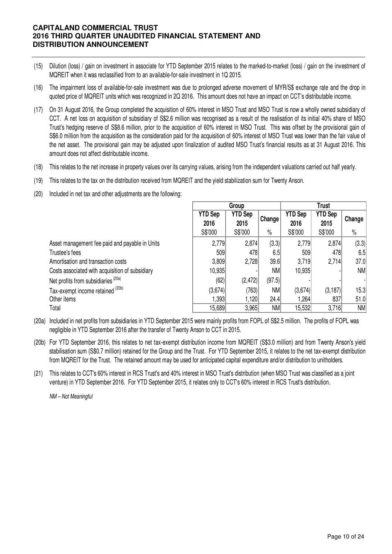- (15) Dilution (loss) / gain on investment in associate for YTD September 2015 relates to the marked-to-market (loss) / gain on the investment of MQREIT when it was reclassified from to an available-for-sale investment in 1Q 2015.
- (16) The impairment loss of available-for-sale investment was due to prolonged adverse movement of MYR/S\$ exchange rate and the drop in quoted price of MQREIT units which was recognized in 2Q 2016. This amount does not have an impact on CCT's distributable income.
- (17) On 31 August 2016, the Group completed the acquisition of 60% interest in MSO Trust and MSO Trust is now a wholly owned subsidiary of CCT. A net loss on acquisition of subsidiary of S\$2.6 million was recognised as a result of the realisation of its initial 40% share of MSO Trust's hedging reserve of S\$8.6 million, prior to the acquisition of 60% interest in MSO Trust. This was offset by the provisional gain of S\$6.0 million from the acquisition as the consideration paid for the acquisition of 60% interest of MSO Trust was lower than the fair value of the net asset. The provisional gain may be adjusted upon finalization of audited MSO Trust's financial results as at 31 August 2016. This amount does not affect distributable income.
- (18) This relates to the net increase in property values over its carrying values, arising from the independent valuations carried out half yearly.
- (19) This relates to the tax on the distribution received from MQREIT and the yield stabilization sum for Twenty Anson.
- (20) Included in net tax and other adjustments are the following:

|                                                 | Group                  |                        |        |                        | <b>Trust</b>           |           |  |  |
|-------------------------------------------------|------------------------|------------------------|--------|------------------------|------------------------|-----------|--|--|
|                                                 | <b>YTD Sep</b><br>2016 | <b>YTD Sep</b><br>2015 | Change | <b>YTD Sep</b><br>2016 | <b>YTD Sep</b><br>2015 | Change    |  |  |
|                                                 | S\$'000                | S\$'000                | $\%$   | S\$'000                | S\$'000                | $\%$      |  |  |
| Asset management fee paid and payable in Units  | 2,779                  | 2,874                  | (3.3)  | 2,779                  | 2,874                  | (3.3)     |  |  |
| Trustee's fees                                  | 509                    | 478                    | 6.5    | 509                    | 478                    | 6.5       |  |  |
| Amortisation and transaction costs              | 3,809                  | 2,728                  | 39.6   | 3,719                  | 2,714                  | 37.0      |  |  |
| Costs associated with acquisition of subsidiary | 10,935                 |                        | NM     | 10,935                 |                        | <b>NM</b> |  |  |
| Net profits from subsidiaries <sup>(20a)</sup>  | (62)                   | (2, 472)               | (97.5) |                        |                        |           |  |  |
| Tax-exempt income retained (20b)                | (3,674)                | (763)                  | NM     | (3,674)                | (3, 187)               | 15.3      |  |  |
| Other items                                     | 1.3931                 | 1,120                  | 24.4   | 1,264                  | 837                    | 51.0      |  |  |
| Total                                           | 15,689                 | 3,965                  | NM     | 15,532                 | 3,716                  | NM        |  |  |

- (20a) Included in net profits from subsidiaries in YTD September 2015 were mainly profits from FOPL of S\$2.5 million. The profits of FOPL was negligible in YTD September 2016 after the transfer of Twenty Anson to CCT in 2015.
- (20b) For YTD September 2016, this relates to net tax-exempt distribution income from MQREIT (S\$3.0 million) and from Twenty Anson's yield stabilisation sum (S\$0.7 million) retained for the Group and the Trust. For YTD September 2015, it relates to the net tax-exempt distribution from MQREIT for the Trust. The retained amount may be used for anticipated capital expenditure and/or distribution to unitholders.
- (21) This relates to CCT's 60% interest in RCS Trust's and 40% interest in MSO Trust's distribution (when MSO Trust was classified as a joint venture) in YTD September 2016. For YTD September 2015, it relates only to CCT's 60% interest in RCS Trust's distribution.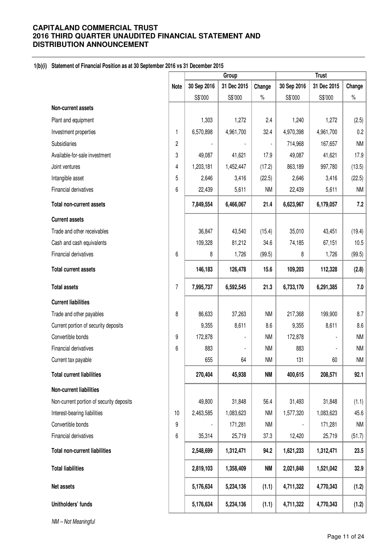## **1(b)(i) Statement of Financial Position as at 30 September 2016 vs 31 December 2015**

|                                          |                | Group       |             |           | <b>Trust</b> |             |           |
|------------------------------------------|----------------|-------------|-------------|-----------|--------------|-------------|-----------|
|                                          | <b>Note</b>    | 30 Sep 2016 | 31 Dec 2015 | Change    | 30 Sep 2016  | 31 Dec 2015 | Change    |
|                                          |                | S\$'000     | S\$'000     | $\%$      | S\$'000      | S\$'000     | $\%$      |
| Non-current assets                       |                |             |             |           |              |             |           |
| Plant and equipment                      |                | 1,303       | 1,272       | 2.4       | 1,240        | 1,272       | (2.5)     |
| Investment properties                    | 1              | 6,570,898   | 4,961,700   | 32.4      | 4,970,398    | 4,961,700   | 0.2       |
| Subsidiaries                             | $\overline{2}$ |             |             |           | 714,968      | 167,657     | <b>NM</b> |
| Available-for-sale investment            | 3              | 49,087      | 41,621      | 17.9      | 49,087       | 41,621      | 17.9      |
| Joint ventures                           | 4              | 1,203,181   | 1,452,447   | (17.2)    | 863,189      | 997,780     | (13.5)    |
| Intangible asset                         | 5              | 2,646       | 3,416       | (22.5)    | 2,646        | 3,416       | (22.5)    |
| Financial derivatives                    | 6              | 22,439      | 5,611       | <b>NM</b> | 22,439       | 5,611       | <b>NM</b> |
| <b>Total non-current assets</b>          |                | 7,849,554   | 6,466,067   | 21.4      | 6,623,967    | 6,179,057   | 7.2       |
| <b>Current assets</b>                    |                |             |             |           |              |             |           |
| Trade and other receivables              |                | 36,847      | 43,540      | (15.4)    | 35,010       | 43,451      | (19.4)    |
| Cash and cash equivalents                |                | 109,328     | 81,212      | 34.6      | 74,185       | 67,151      | 10.5      |
| Financial derivatives                    | 6              | 8           | 1,726       | (99.5)    | 8            | 1,726       | (99.5)    |
| <b>Total current assets</b>              |                | 146,183     | 126,478     | 15.6      | 109,203      | 112,328     | (2.8)     |
| <b>Total assets</b>                      | $\overline{7}$ | 7,995,737   | 6,592,545   | 21.3      | 6,733,170    | 6,291,385   | 7.0       |
| <b>Current liabilities</b>               |                |             |             |           |              |             |           |
| Trade and other payables                 | 8              | 86,633      | 37,263      | <b>NM</b> | 217,368      | 199,900     | 8.7       |
| Current portion of security deposits     |                | 9,355       | 8,611       | 8.6       | 9,355        | 8,611       | 8.6       |
| Convertible bonds                        | 9              | 172,878     |             | <b>NM</b> | 172,878      |             | <b>NM</b> |
| Financial derivatives                    | 6              | 883         |             | <b>NM</b> | 883          |             | <b>NM</b> |
| Current tax payable                      |                | 655         | 64          | <b>NM</b> | 131          | 60          | <b>NM</b> |
| <b>Total current liabilities</b>         |                | 270,404     | 45,938      | <b>NM</b> | 400,615      | 208,571     | 92.1      |
| Non-current liabilities                  |                |             |             |           |              |             |           |
| Non-current portion of security deposits |                | 49,800      | 31,848      | 56.4      | 31,493       | 31,848      | (1.1)     |
| Interest-bearing liabilities             | 10             | 2,463,585   | 1,083,623   | <b>NM</b> | 1,577,320    | 1,083,623   | 45.6      |
| Convertible bonds                        | 9              |             | 171,281     | <b>NM</b> |              | 171,281     | <b>NM</b> |
| Financial derivatives                    | 6              | 35,314      | 25,719      | 37.3      | 12,420       | 25,719      | (51.7)    |
| <b>Total non-current liabilities</b>     |                | 2,548,699   | 1,312,471   | 94.2      | 1,621,233    | 1,312,471   | 23.5      |
| <b>Total liabilities</b>                 |                | 2,819,103   | 1,358,409   | <b>NM</b> | 2,021,848    | 1,521,042   | 32.9      |
| Net assets                               |                | 5,176,634   | 5,234,136   | (1.1)     | 4,711,322    | 4,770,343   | (1.2)     |
| Unitholders' funds                       |                | 5,176,634   | 5,234,136   | (1.1)     | 4,711,322    | 4,770,343   | (1.2)     |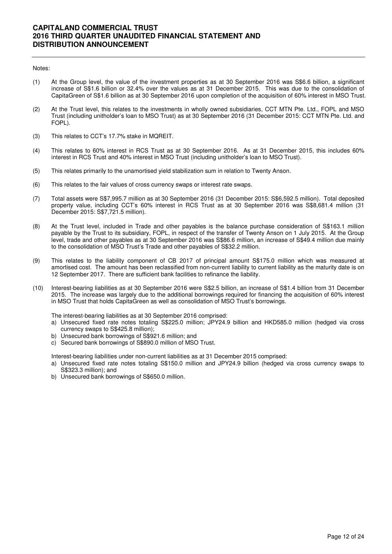#### Notes:

- (1) At the Group level, the value of the investment properties as at 30 September 2016 was S\$6.6 billion, a significant increase of S\$1.6 billion or 32.4% over the values as at 31 December 2015. This was due to the consolidation of CapitaGreen of S\$1.6 billion as at 30 September 2016 upon completion of the acquisition of 60% interest in MSO Trust.
- (2) At the Trust level, this relates to the investments in wholly owned subsidiaries, CCT MTN Pte. Ltd., FOPL and MSO Trust (including unitholder's loan to MSO Trust) as at 30 September 2016 (31 December 2015: CCT MTN Pte. Ltd. and FOPL).
- (3) This relates to CCT's 17.7% stake in MQREIT.
- (4) This relates to 60% interest in RCS Trust as at 30 September 2016. As at 31 December 2015, this includes 60% interest in RCS Trust and 40% interest in MSO Trust (including unitholder's loan to MSO Trust).
- (5) This relates primarily to the unamortised yield stabilization sum in relation to Twenty Anson.
- (6) This relates to the fair values of cross currency swaps or interest rate swaps.
- (7) Total assets were S\$7,995.7 million as at 30 September 2016 (31 December 2015: S\$6,592.5 million). Total deposited property value, including CCT's 60% interest in RCS Trust as at 30 September 2016 was S\$8,681.4 million (31 December 2015: S\$7,721.5 million).
- (8) At the Trust level, included in Trade and other payables is the balance purchase consideration of S\$163.1 million payable by the Trust to its subsidiary, FOPL, in respect of the transfer of Twenty Anson on 1 July 2015. At the Group level, trade and other payables as at 30 September 2016 was S\$86.6 million, an increase of S\$49.4 million due mainly to the consolidation of MSO Trust's Trade and other payables of S\$32.2 million.
- (9) This relates to the liability component of CB 2017 of principal amount S\$175.0 million which was measured at amortised cost. The amount has been reclassified from non-current liability to current liability as the maturity date is on 12 September 2017. There are sufficient bank facilities to refinance the liability.
- (10) Interest-bearing liabilities as at 30 September 2016 were S\$2.5 billion, an increase of S\$1.4 billion from 31 December 2015. The increase was largely due to the additional borrowings required for financing the acquisition of 60% interest in MSO Trust that holds CapitaGreen as well as consolidation of MSO Trust's borrowings.

The interest-bearing liabilities as at 30 September 2016 comprised:

- a) Unsecured fixed rate notes totaling S\$225.0 million; JPY24.9 billion and HKD585.0 million (hedged via cross currency swaps to S\$425.8 million);
- b) Unsecured bank borrowings of S\$921.6 million; and
- c) Secured bank borrowings of S\$890.0 million of MSO Trust.

Interest-bearing liabilities under non-current liabilities as at 31 December 2015 comprised:

- a) Unsecured fixed rate notes totaling S\$150.0 million and JPY24.9 billion (hedged via cross currency swaps to S\$323.3 million); and
- b) Unsecured bank borrowings of S\$650.0 million.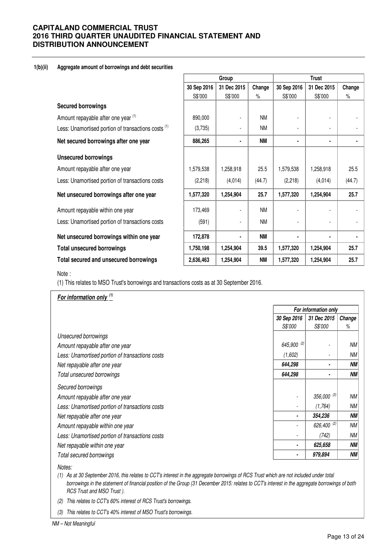### **1(b)(ii) Aggregate amount of borrowings and debt securities**

|                                                                |             | Group       |           |             | <b>Trust</b>   |        |  |  |
|----------------------------------------------------------------|-------------|-------------|-----------|-------------|----------------|--------|--|--|
|                                                                | 30 Sep 2016 | 31 Dec 2015 | Change    | 30 Sep 2016 | 31 Dec 2015    | Change |  |  |
|                                                                | S\$'000     | S\$'000     | $\%$      | S\$'000     | S\$'000        | $\%$   |  |  |
| <b>Secured borrowings</b>                                      |             |             |           |             |                |        |  |  |
| Amount repayable after one year (1)                            | 890,000     |             | <b>NM</b> |             |                |        |  |  |
| Less: Unamortised portion of transactions costs <sup>(1)</sup> | (3,735)     |             | <b>NM</b> |             |                |        |  |  |
| Net secured borrowings after one year                          | 886,265     |             | <b>NM</b> | ٠           | ٠              |        |  |  |
| <b>Unsecured borrowings</b>                                    |             |             |           |             |                |        |  |  |
| Amount repayable after one year                                | 1,579,538   | 1,258,918   | 25.5      | 1,579,538   | 1,258,918      | 25.5   |  |  |
| Less: Unamortised portion of transactions costs                | (2,218)     | (4,014)     | (44.7)    | (2, 218)    | (4,014)        | (44.7) |  |  |
| Net unsecured borrowings after one year                        | 1,577,320   | 1,254,904   | 25.7      | 1,577,320   | 1,254,904      | 25.7   |  |  |
| Amount repayable within one year                               | 173,469     |             | <b>NM</b> |             |                |        |  |  |
| Less: Unamortised portion of transactions costs                | (591)       |             | <b>NM</b> |             | $\blacksquare$ |        |  |  |
| Net unsecured borrowings within one year                       | 172,878     |             | <b>NM</b> |             | ٠              |        |  |  |
| <b>Total unsecured borrowings</b>                              | 1,750,198   | 1,254,904   | 39.5      | 1,577,320   | 1,254,904      | 25.7   |  |  |
| Total secured and unsecured borrowings                         | 2,636,463   | 1,254,904   | <b>NM</b> | 1,577,320   | 1,254,904      | 25.7   |  |  |
| Note :                                                         |             |             |           |             |                |        |  |  |

(1) This relates to MSO Trust's borrowings and transactions costs as at 30 September 2016.

|                                                 |                | For information only   |           |  |  |
|-------------------------------------------------|----------------|------------------------|-----------|--|--|
|                                                 | 30 Sep 2016    | 31 Dec 2015            | Change    |  |  |
|                                                 | <i>S\$'000</i> | <i>S\$'000</i>         | ℅         |  |  |
| Unsecured borrowings                            |                |                        |           |  |  |
| Amount repayable after one year                 | 645,900 (2)    |                        | <b>NM</b> |  |  |
| Less: Unamortised portion of transactions costs | (1,602)        |                        | <b>NM</b> |  |  |
| Net repayable after one year                    | 644,298        |                        | <b>NM</b> |  |  |
| Total unsecured borrowings                      | 644,298        |                        | <b>NM</b> |  |  |
| Secured borrowings                              |                |                        |           |  |  |
| Amount repayable after one year                 |                | $356,000^{(3)}$        | <b>NM</b> |  |  |
| Less: Unamortised portion of transactions costs |                | (1,764)                | <b>NM</b> |  |  |
| Net repayable after one year                    |                | 354,236                | ΝM        |  |  |
| Amount repayable within one year                |                | 626,400 <sup>(2)</sup> | <b>NM</b> |  |  |
| Less: Unamortised portion of transactions costs |                | (742)                  | <b>NM</b> |  |  |
| Net repayable within one year                   | ٠              | 625,658                | <b>NM</b> |  |  |
| Total secured borrowings                        |                | 979,894                | ΝM        |  |  |

Notes:

(1) As at 30 September 2016, this relates to CCT's interest in the aggregate borrowings of RCS Trust which are not included under total borrowings in the statement of financial position of the Group (31 December 2015: relates to CCT's interest in the aggregate borrowings of both RCS Trust and MSO Trust ).

(2) This relates to CCT's 60% interest of RCS Trust's borrowings.

(3) This relates to CCT's 40% interest of MSO Trust's borrowings.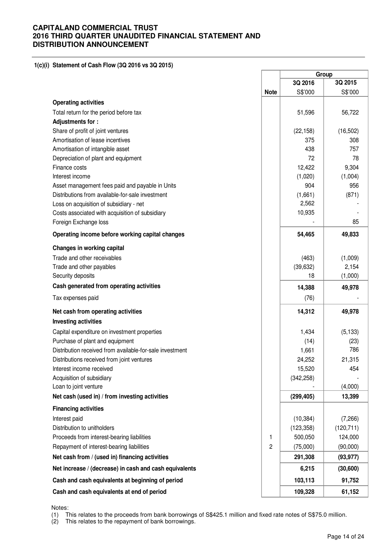### **1(c)(i) Statement of Cash Flow (3Q 2016 vs 3Q 2015)**

|                                                          |             | Group      |            |  |
|----------------------------------------------------------|-------------|------------|------------|--|
|                                                          |             | 3Q 2016    | 3Q 2015    |  |
|                                                          | <b>Note</b> | S\$'000    | S\$'000    |  |
| <b>Operating activities</b>                              |             |            |            |  |
| Total return for the period before tax                   |             | 51,596     | 56,722     |  |
| Adjustments for:                                         |             |            |            |  |
| Share of profit of joint ventures                        |             | (22, 158)  | (16, 502)  |  |
| Amortisation of lease incentives                         |             | 375        | 308        |  |
| Amortisation of intangible asset                         |             | 438        | 757        |  |
| Depreciation of plant and equipment                      |             | 72         | 78         |  |
| Finance costs                                            |             | 12,422     | 9,304      |  |
| Interest income                                          |             | (1,020)    | (1,004)    |  |
| Asset management fees paid and payable in Units          |             | 904        | 956        |  |
| Distributions from available-for-sale investment         |             | (1,661)    | (871)      |  |
| Loss on acquisition of subsidiary - net                  |             | 2,562      |            |  |
| Costs associated with acquisition of subsidiary          |             | 10,935     |            |  |
| Foreign Exchange loss                                    |             |            | 85         |  |
| Operating income before working capital changes          |             | 54,465     | 49,833     |  |
| Changes in working capital                               |             |            |            |  |
| Trade and other receivables                              |             | (463)      | (1,009)    |  |
| Trade and other payables                                 |             | (39, 632)  | 2,154      |  |
| Security deposits                                        |             | 18         | (1,000)    |  |
| Cash generated from operating activities                 |             | 14,388     | 49,978     |  |
| Tax expenses paid                                        |             | (76)       |            |  |
| Net cash from operating activities                       |             | 14,312     | 49,978     |  |
| <b>Investing activities</b>                              |             |            |            |  |
| Capital expenditure on investment properties             |             | 1,434      | (5, 133)   |  |
| Purchase of plant and equipment                          |             | (14)       | (23)       |  |
| Distribution received from available-for-sale investment |             | 1,661      | 786        |  |
| Distributions received from joint ventures               |             | 24,252     | 21,315     |  |
| Interest income received                                 |             | 15,520     | 454        |  |
| Acquisition of subsidiary                                |             | (342, 258) |            |  |
| Loan to joint venture                                    |             |            | (4,000)    |  |
| Net cash (used in) / from investing activities           |             | (299, 405) | 13,399     |  |
| <b>Financing activities</b>                              |             |            |            |  |
| Interest paid                                            |             | (10, 384)  | (7,266)    |  |
| Distribution to unitholders                              |             | (123, 358) | (120, 711) |  |
| Proceeds from interest-bearing liabilities               | 1           | 500,050    | 124,000    |  |
| Repayment of interest-bearing liabilities                | 2           | (75,000)   | (90,000)   |  |
| Net cash from / (used in) financing activities           |             | 291,308    | (93, 977)  |  |
| Net increase / (decrease) in cash and cash equivalents   |             | 6,215      | (30,600)   |  |
| Cash and cash equivalents at beginning of period         |             | 103,113    | 91,752     |  |
| Cash and cash equivalents at end of period               |             | 109,328    | 61,152     |  |

Notes:

(1) This relates to the proceeds from bank borrowings of S\$425.1 million and fixed rate notes of S\$75.0 million.

(2) This relates to the repayment of bank borrowings.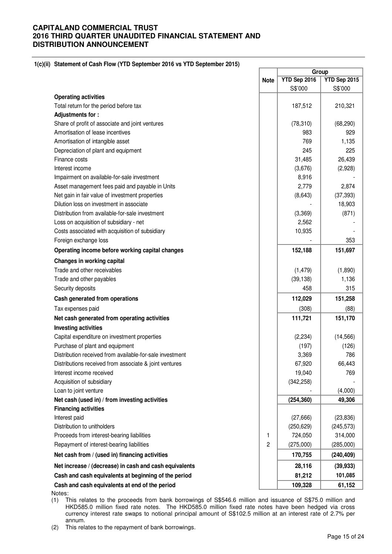### **1(c)(ii) Statement of Cash Flow (YTD September 2016 vs YTD September 2015)**

|                                                          |                | Group        |              |  |
|----------------------------------------------------------|----------------|--------------|--------------|--|
|                                                          | <b>Note</b>    | YTD Sep 2016 | YTD Sep 2015 |  |
|                                                          |                | S\$'000      | S\$'000      |  |
| <b>Operating activities</b>                              |                |              |              |  |
| Total return for the period before tax                   |                | 187,512      | 210,321      |  |
| Adjustments for:                                         |                |              |              |  |
| Share of profit of associate and joint ventures          |                | (78, 310)    | (68, 290)    |  |
| Amortisation of lease incentives                         |                | 983          | 929          |  |
| Amortisation of intangible asset                         |                | 769          | 1,135        |  |
| Depreciation of plant and equipment                      |                | 245          | 225          |  |
| Finance costs                                            |                | 31,485       | 26,439       |  |
| Interest income                                          |                | (3,676)      | (2,928)      |  |
| Impairment on available-for-sale investment              |                | 8,916        |              |  |
| Asset management fees paid and payable in Units          |                | 2,779        | 2,874        |  |
| Net gain in fair value of investment properties          |                | (8,643)      | (37, 393)    |  |
| Dilution loss on investment in associate                 |                |              | 18,903       |  |
| Distribution from available-for-sale investment          |                | (3,369)      | (871)        |  |
| Loss on acquisition of subsidiary - net                  |                | 2,562        |              |  |
| Costs associated with acquisition of subsidiary          |                | 10,935       |              |  |
| Foreign exchange loss                                    |                |              | 353          |  |
| Operating income before working capital changes          |                | 152,188      | 151,697      |  |
| Changes in working capital                               |                |              |              |  |
| Trade and other receivables                              |                | (1, 479)     | (1,890)      |  |
| Trade and other payables                                 |                | (39, 138)    | 1,136        |  |
| Security deposits                                        |                | 458          | 315          |  |
| Cash generated from operations                           |                | 112,029      | 151,258      |  |
| Tax expenses paid                                        |                | (308)        | (88)         |  |
| Net cash generated from operating activities             |                | 111,721      | 151,170      |  |
| <b>Investing activities</b>                              |                |              |              |  |
| Capital expenditure on investment properties             |                | (2, 234)     | (14, 566)    |  |
| Purchase of plant and equipment                          |                | (197)        | (126)        |  |
| Distribution received from available-for-sale investment |                | 3,369        | 786          |  |
| Distributions received from associate & joint ventures   |                | 67,920       | 66,443       |  |
| Interest income received                                 |                | 19,040       | 769          |  |
| Acquisition of subsidiary                                |                | (342, 258)   |              |  |
| Loan to joint venture                                    |                |              | (4,000)      |  |
| Net cash (used in) / from investing activities           |                | (254, 360)   | 49,306       |  |
| <b>Financing activities</b>                              |                |              |              |  |
| Interest paid                                            |                | (27,666)     | (23, 836)    |  |
| Distribution to unitholders                              |                | (250, 629)   | (245, 573)   |  |
| Proceeds from interest-bearing liabilities               | 1              | 724,050      | 314,000      |  |
| Repayment of interest-bearing liabilities                | $\overline{c}$ | (275,000)    | (285,000)    |  |
| Net cash from / (used in) financing activities           |                | 170,755      | (240, 409)   |  |
| Net increase / (decrease) in cash and cash equivalents   |                | 28,116       | (39, 933)    |  |
| Cash and cash equivalents at beginning of the period     |                | 81,212       | 101,085      |  |
| Cash and cash equivalents at end of the period           |                | 109,328      | 61,152       |  |
| Notes:                                                   |                |              |              |  |

(1) This relates to the proceeds from bank borrowings of S\$546.6 million and issuance of S\$75.0 million and HKD585.0 million fixed rate notes. The HKD585.0 million fixed rate notes have been hedged via cross currency interest rate swaps to notional principal amount of S\$102.5 million at an interest rate of 2.7% per annum.

(2) This relates to the repayment of bank borrowings.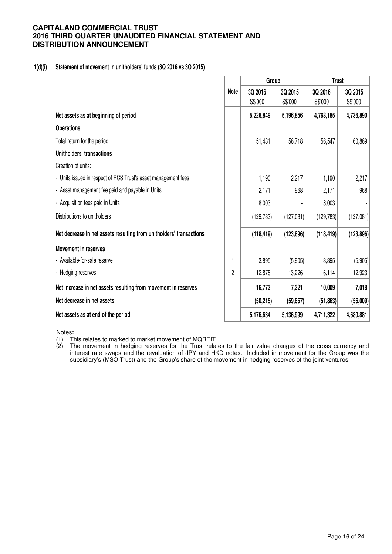## **1(d)(i) Statement of movement in unitholders' funds (3Q 2016 vs 3Q 2015)**

|                                                                     |                | Group      |            | <b>Trust</b> |            |  |
|---------------------------------------------------------------------|----------------|------------|------------|--------------|------------|--|
|                                                                     | <b>Note</b>    | 3Q 2016    | 3Q 2015    | 3Q 2016      | 3Q 2015    |  |
|                                                                     |                | S\$'000    | S\$'000    | S\$'000      | S\$'000    |  |
| Net assets as at beginning of period                                |                | 5,226,849  | 5,196,856  | 4,763,185    | 4,736,890  |  |
| <b>Operations</b>                                                   |                |            |            |              |            |  |
| Total return for the period                                         |                | 51,431     | 56,718     | 56,547       | 60,869     |  |
| Unitholders' transactions                                           |                |            |            |              |            |  |
| Creation of units:                                                  |                |            |            |              |            |  |
| - Units issued in respect of RCS Trust's asset management fees      |                | 1,190      | 2,217      | 1,190        | 2,217      |  |
| - Asset management fee paid and payable in Units                    |                | 2,171      | 968        | 2,171        | 968        |  |
| - Acquisition fees paid in Units                                    |                | 8,003      |            | 8,003        |            |  |
| Distributions to unitholders                                        |                | (129, 783) | (127,081)  | (129, 783)   | (127,081)  |  |
| Net decrease in net assets resulting from unitholders' transactions |                | (118, 419) | (123, 896) | (118, 419)   | (123, 896) |  |
| Movement in reserves                                                |                |            |            |              |            |  |
| - Available-for-sale reserve                                        | 1              | 3,895      | (5,905)    | 3,895        | (5,905)    |  |
| - Hedging reserves                                                  | $\overline{2}$ | 12,878     | 13,226     | 6,114        | 12,923     |  |
| Net increase in net assets resulting from movement in reserves      |                | 16,773     | 7,321      | 10,009       | 7,018      |  |
| Net decrease in net assets                                          |                | (50, 215)  | (59, 857)  | (51, 863)    | (56,009)   |  |
| Net assets as at end of the period                                  |                | 5,176,634  | 5,136,999  | 4,711,322    | 4,680,881  |  |

Notes**:** 

(1) This relates to marked to market movement of MQREIT.

(2) The movement in hedging reserves for the Trust relates to the fair value changes of the cross currency and interest rate swaps and the revaluation of JPY and HKD notes. Included in movement for the Group was the subsidiary's (MSO Trust) and the Group's share of the movement in hedging reserves of the joint ventures.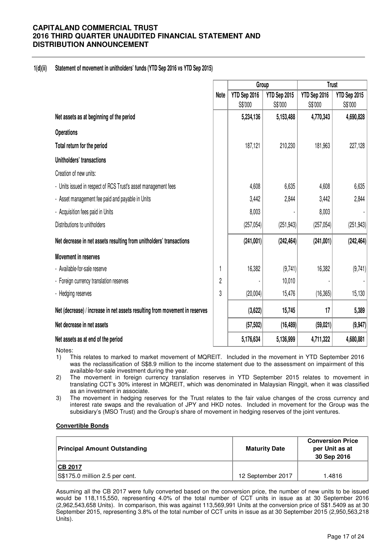## **1(d)(ii) Statement of movement in unitholders' funds (YTD Sep 2016 vs YTD Sep 2015)**

|                                                                             |      | Group        |              | <b>Trust</b> |              |  |
|-----------------------------------------------------------------------------|------|--------------|--------------|--------------|--------------|--|
|                                                                             | Note | YTD Sep 2016 | YTD Sep 2015 | YTD Sep 2016 | YTD Sep 2015 |  |
|                                                                             |      | S\$'000      | S\$'000      | S\$'000      | S\$'000      |  |
| Net assets as at beginning of the period                                    |      | 5,234,136    | 5,153,488    | 4,770,343    | 4,690,828    |  |
| <b>Operations</b>                                                           |      |              |              |              |              |  |
| Total return for the period                                                 |      | 187,121      | 210,230      | 181,963      | 227,128      |  |
| Unitholders' transactions                                                   |      |              |              |              |              |  |
| Creation of new units:                                                      |      |              |              |              |              |  |
| - Units issued in respect of RCS Trust's asset management fees              |      | 4,608        | 6,635        | 4,608        | 6,635        |  |
| - Asset management fee paid and payable in Units                            |      | 3,442        | 2,844        | 3,442        | 2,844        |  |
| - Acquisition fees paid in Units                                            |      | 8,003        |              | 8,003        |              |  |
| Distributions to unitholders                                                |      | (257, 054)   | (251, 943)   | (257, 054)   | (251, 943)   |  |
| Net decrease in net assets resulting from unitholders' transactions         |      | (241,001)    | (242, 464)   | (241,001)    | (242, 464)   |  |
| <b>Movement in reserves</b>                                                 |      |              |              |              |              |  |
| - Available-for-sale reserve                                                |      | 16,382       | (9,741)      | 16,382       | (9,741)      |  |
| - Foreign currency translation reserves                                     | 2    |              | 10,010       |              |              |  |
| - Hedging reserves                                                          | 3    | (20,004)     | 15,476       | (16, 365)    | 15,130       |  |
| Net (decrease) / increase in net assets resulting from movement in reserves |      | (3,622)      | 15,745       | 17           | 5,389        |  |
| Net decrease in net assets                                                  |      | (57, 502)    | (16, 489)    | (59, 021)    | (9, 947)     |  |
| Net assets as at end of the period                                          |      | 5,176,634    | 5,136,999    | 4,711,322    | 4,680,881    |  |

Notes:

- 1) This relates to marked to market movement of MQREIT. Included in the movement in YTD September 2016 was the reclassification of S\$8.9 million to the income statement due to the assessment on impairment of this available-for-sale investment during the year.
- 2) The movement in foreign currency translation reserves in YTD September 2015 relates to movement in translating CCT's 30% interest in MQREIT, which was denominated in Malaysian Ringgit, when it was classified as an investment in associate.
- 3) The movement in hedging reserves for the Trust relates to the fair value changes of the cross currency and interest rate swaps and the revaluation of JPY and HKD notes. Included in movement for the Group was the subsidiary's (MSO Trust) and the Group's share of movement in hedging reserves of the joint ventures.

## **Convertible Bonds**

| <b>Principal Amount Outstanding</b> | <b>Maturity Date</b> | <b>Conversion Price</b><br>per Unit as at<br>30 Sep 2016 |
|-------------------------------------|----------------------|----------------------------------------------------------|
| <b>ICB 2017</b>                     |                      |                                                          |
| S\$175.0 million 2.5 per cent.      | 12 September 2017    | 1.4816                                                   |

Assuming all the CB 2017 were fully converted based on the conversion price, the number of new units to be issued would be 118,115,550, representing 4.0% of the total number of CCT units in issue as at 30 September 2016 (2,962,543,658 Units). In comparison, this was against 113,569,991 Units at the conversion price of S\$1.5409 as at 30 September 2015, representing 3.8% of the total number of CCT units in issue as at 30 September 2015 (2,950,563,218 Units).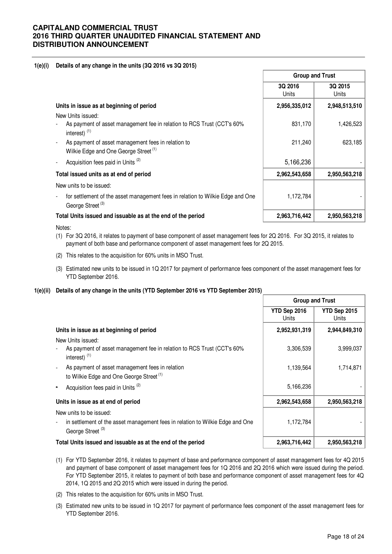## **1(e)(i) Details of any change in the units (3Q 2016 vs 3Q 2015)**

|                                                                                                                | <b>Group and Trust</b> |                  |  |
|----------------------------------------------------------------------------------------------------------------|------------------------|------------------|--|
|                                                                                                                | 3Q 2016<br>Units       | 3Q 2015<br>Units |  |
| Units in issue as at beginning of period                                                                       | 2,956,335,012          | 2,948,513,510    |  |
| New Units issued:                                                                                              |                        |                  |  |
| As payment of asset management fee in relation to RCS Trust (CCT's 60%<br>interest) $(1)$                      | 831,170                | 1,426,523        |  |
| As payment of asset management fees in relation to<br>Wilkie Edge and One George Street <sup>(1)</sup>         | 211,240                | 623,185          |  |
| Acquisition fees paid in Units <sup>(2)</sup>                                                                  | 5,166,236              |                  |  |
| Total issued units as at end of period                                                                         | 2,962,543,658          | 2,950,563,218    |  |
| New units to be issued:                                                                                        |                        |                  |  |
| for settlement of the asset management fees in relation to Wilkie Edge and One<br>George Street <sup>(3)</sup> | 1,172,784              |                  |  |
| Total Units issued and issuable as at the end of the period                                                    | 2,963,716,442          | 2,950,563,218    |  |
|                                                                                                                |                        |                  |  |

Notes:

- (1) For 3Q 2016, it relates to payment of base component of asset management fees for 2Q 2016. For 3Q 2015, it relates to payment of both base and performance component of asset management fees for 2Q 2015.
- (2) This relates to the acquisition for 60% units in MSO Trust.
- (3) Estimated new units to be issued in 1Q 2017 for payment of performance fees component of the asset management fees for YTD September 2016.

## **1(e)(ii) Details of any change in the units (YTD September 2016 vs YTD September 2015)**

|                                                                                                                                          | <b>Group and Trust</b> |                       |  |
|------------------------------------------------------------------------------------------------------------------------------------------|------------------------|-----------------------|--|
|                                                                                                                                          | YTD Sep 2016<br>Units  | YTD Sep 2015<br>Units |  |
| Units in issue as at beginning of period                                                                                                 | 2,952,931,319          | 2,944,849,310         |  |
| New Units issued:<br>As payment of asset management fee in relation to RCS Trust (CCT's 60%<br>interest) $(1)$                           | 3,306,539              | 3,999,037             |  |
| As payment of asset management fees in relation<br>to Wilkie Edge and One George Street <sup>(1)</sup>                                   | 1,139,564              | 1,714,871             |  |
| Acquisition fees paid in Units <sup>(2)</sup>                                                                                            | 5,166,236              |                       |  |
| Units in issue as at end of period                                                                                                       | 2,962,543,658          | 2,950,563,218         |  |
| New units to be issued:<br>in settlement of the asset management fees in relation to Wilkie Edge and One<br>George Street <sup>(3)</sup> | 1,172,784              |                       |  |
| Total Units issued and issuable as at the end of the period                                                                              | 2,963,716,442          | 2,950,563,218         |  |

- (1) For YTD September 2016, it relates to payment of base and performance component of asset management fees for 4Q 2015 and payment of base component of asset management fees for 1Q 2016 and 2Q 2016 which were issued during the period. For YTD September 2015, it relates to payment of both base and performance component of asset management fees for 4Q 2014, 1Q 2015 and 2Q 2015 which were issued in during the period.
- (2) This relates to the acquisition for 60% units in MSO Trust.
- (3) Estimated new units to be issued in 1Q 2017 for payment of performance fees component of the asset management fees for YTD September 2016.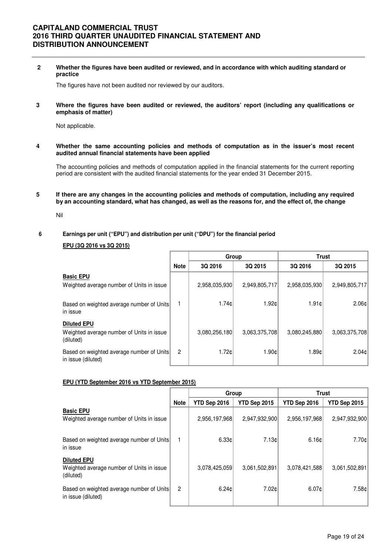**2 Whether the figures have been audited or reviewed, and in accordance with which auditing standard or practice** 

The figures have not been audited nor reviewed by our auditors.

**3 Where the figures have been audited or reviewed, the auditors' report (including any qualifications or emphasis of matter)** 

Not applicable.

**4 Whether the same accounting policies and methods of computation as in the issuer's most recent audited annual financial statements have been applied** 

The accounting policies and methods of computation applied in the financial statements for the current reporting period are consistent with the audited financial statements for the year ended 31 December 2015.

**5 If there are any changes in the accounting policies and methods of computation, including any required by an accounting standard, what has changed, as well as the reasons for, and the effect of, the change**

Nil

## **6 Earnings per unit ("EPU") and distribution per unit ("DPU") for the financial period**

**EPU (3Q 2016 vs 3Q 2015)**

|                                                                              |                |                    | Group         | Trust         |               |  |  |
|------------------------------------------------------------------------------|----------------|--------------------|---------------|---------------|---------------|--|--|
|                                                                              | <b>Note</b>    | 3Q 2016<br>3Q 2015 |               | 3Q 2016       | 3Q 2015       |  |  |
| <b>Basic EPU</b><br>Weighted average number of Units in issue                |                | 2,958,035,930      | 2,949,805,717 | 2,958,035,930 | 2,949,805,717 |  |  |
| Based on weighted average number of Units<br>in issue                        |                | 1.74c              | 1.92c         | 1.91c         | 2.06c         |  |  |
| <b>Diluted EPU</b><br>Weighted average number of Units in issue<br>(diluted) |                | 3,080,256,180      | 3,063,375,708 | 3,080,245,880 | 3,063,375,708 |  |  |
| Based on weighted average number of Units<br>in issue (diluted)              | $\overline{2}$ | 1.72c              | 1.90c         | 1.89c         | 2.04c         |  |  |

### **EPU (YTD September 2016 vs YTD September 2015)**

|                                                                              |                | Group         |               | <b>Trust</b>  |               |  |  |
|------------------------------------------------------------------------------|----------------|---------------|---------------|---------------|---------------|--|--|
|                                                                              | <b>Note</b>    | YTD Sep 2016  | YTD Sep 2015  | YTD Sep 2016  | YTD Sep 2015  |  |  |
| <b>Basic EPU</b><br>Weighted average number of Units in issue                |                | 2,956,197,968 | 2,947,932,900 | 2,956,197,968 | 2,947,932,900 |  |  |
| Based on weighted average number of Units<br>in issue                        |                | 6.33c         | 7.13c         | 6.16c         | 7.70cl        |  |  |
| <b>Diluted EPU</b><br>Weighted average number of Units in issue<br>(diluted) |                | 3,078,425,059 | 3,061,502,891 | 3,078,421,588 | 3,061,502,891 |  |  |
| Based on weighted average number of Units<br>in issue (diluted)              | $\overline{2}$ | 6.24c         | 7.02¢         | 6.07c         | 7.58¢         |  |  |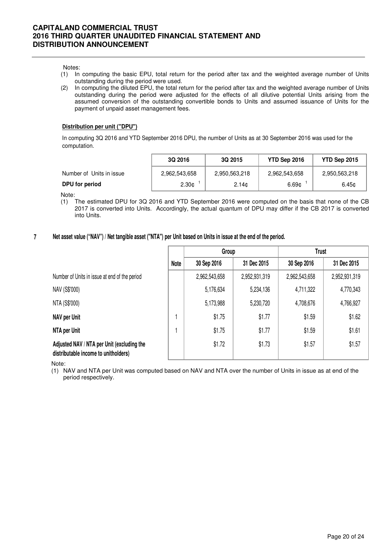Notes:

- (1) In computing the basic EPU, total return for the period after tax and the weighted average number of Units outstanding during the period were used.
- (2) In computing the diluted EPU, the total return for the period after tax and the weighted average number of Units outstanding during the period were adjusted for the effects of all dilutive potential Units arising from the assumed conversion of the outstanding convertible bonds to Units and assumed issuance of Units for the payment of unpaid asset management fees.

## **Distribution per unit ("DPU")**

In computing 3Q 2016 and YTD September 2016 DPU, the number of Units as at 30 September 2016 was used for the computation.

|                          | 3Q 2016           | 3Q 2015           | YTD Sep 2016  | YTD Sep 2015  |
|--------------------------|-------------------|-------------------|---------------|---------------|
| Number of Units in issue | 2,962,543,658     | 2,950,563,218     | 2,962,543,658 | 2,950,563,218 |
| DPU for period           | 2.30 <sub>c</sub> | 2.14 <sub>c</sub> | 6.69c         | 6.45¢         |

Note:

- (1) The estimated DPU for 3Q 2016 and YTD September 2016 were computed on the basis that none of the CB 2017 is converted into Units. Accordingly, the actual quantum of DPU may differ if the CB 2017 is converted into Units.
- **7 Net asset value ("NAV") / Net tangible asset ("NTA") per Unit based on Units in issue at the end of the period.**

|                                                                                    |      | Group         |               | <b>Trust</b>  |               |  |
|------------------------------------------------------------------------------------|------|---------------|---------------|---------------|---------------|--|
|                                                                                    | Note | 30 Sep 2016   | 31 Dec 2015   | 30 Sep 2016   | 31 Dec 2015   |  |
| Number of Units in issue at end of the period                                      |      | 2,962,543,658 | 2,952,931,319 | 2,962,543,658 | 2,952,931,319 |  |
| NAV (S\$'000)                                                                      |      | 5,176,634     | 5,234,136     | 4,711,322     | 4,770,343     |  |
| NTA (S\$'000)                                                                      |      | 5,173,988     | 5,230,720     | 4,708,676     | 4,766,927     |  |
| <b>NAV per Unit</b>                                                                |      | \$1.75        | \$1.77        | \$1.59        | \$1.62        |  |
| NTA per Unit                                                                       |      | \$1.75        | \$1.77        | \$1.59        | \$1.61        |  |
| Adjusted NAV / NTA per Unit (excluding the<br>distributable income to unitholders) |      | \$1.72        | \$1.73        | \$1.57        | \$1.57        |  |

Note:

(1) NAV and NTA per Unit was computed based on NAV and NTA over the number of Units in issue as at end of the period respectively.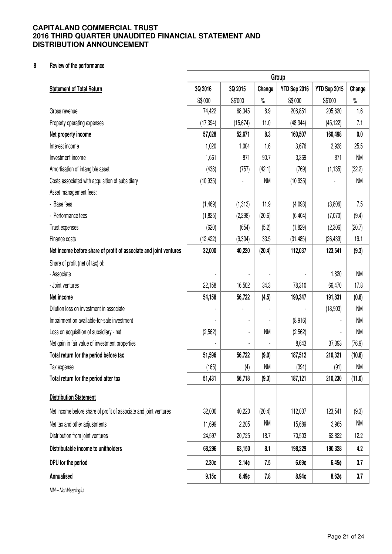## **8 Review of the performance**

|                                                                   | Group     |           |           |              |              |           |
|-------------------------------------------------------------------|-----------|-----------|-----------|--------------|--------------|-----------|
| <b>Statement of Total Return</b>                                  | 3Q 2016   | 3Q 2015   | Change    | YTD Sep 2016 | YTD Sep 2015 | Change    |
|                                                                   | S\$'000   | S\$'000   | $\%$      | S\$'000      | S\$'000      | $\%$      |
| Gross revenue                                                     | 74,422    | 68,345    | 8.9       | 208,851      | 205,620      | 1.6       |
| Property operating expenses                                       | (17, 394) | (15, 674) | 11.0      | (48, 344)    | (45, 122)    | 7.1       |
| Net property income                                               | 57,028    | 52,671    | 8.3       | 160,507      | 160,498      | 0.0       |
| Interest income                                                   | 1,020     | 1,004     | 1.6       | 3,676        | 2,928        | 25.5      |
| Investment income                                                 | 1,661     | 871       | 90.7      | 3,369        | 871          | <b>NM</b> |
| Amortisation of intangible asset                                  | (438)     | (757)     | (42.1)    | (769)        | (1, 135)     | (32.2)    |
| Costs associated with acquisition of subsidiary                   | (10, 935) |           | <b>NM</b> | (10, 935)    |              | <b>NM</b> |
| Asset management fees:                                            |           |           |           |              |              |           |
| - Base fees                                                       | (1, 469)  | (1, 313)  | 11.9      | (4,093)      | (3,806)      | 7.5       |
| - Performance fees                                                | (1, 825)  | (2, 298)  | (20.6)    | (6, 404)     | (7,070)      | (9.4)     |
| Trust expenses                                                    | (620)     | (654)     | (5.2)     | (1,829)      | (2,306)      | (20.7)    |
| Finance costs                                                     | (12, 422) | (9,304)   | 33.5      | (31, 485)    | (26, 439)    | 19.1      |
| Net income before share of profit of associate and joint ventures | 32,000    | 40,220    | (20.4)    | 112,037      | 123,541      | (9.3)     |
| Share of profit (net of tax) of:                                  |           |           |           |              |              |           |
| - Associate                                                       |           |           |           |              | 1,820        | <b>NM</b> |
| - Joint ventures                                                  | 22,158    | 16,502    | 34.3      | 78,310       | 66,470       | 17.8      |
| Net income                                                        | 54,158    | 56,722    | (4.5)     | 190,347      | 191,831      | (0.8)     |
| Dilution loss on investment in associate                          |           |           |           |              | (18, 903)    | <b>NM</b> |
| Impairment on available-for-sale investment                       |           |           |           | (8,916)      |              | <b>NM</b> |
| Loss on acquisition of subsidiary - net                           | (2, 562)  |           | <b>NM</b> | (2,562)      |              | <b>NM</b> |
| Net gain in fair value of investment properties                   |           |           |           | 8,643        | 37,393       | (76.9)    |
| Total return for the period before tax                            | 51,596    | 56,722    | (9.0)     | 187,512      | 210,321      | (10.8)    |
| Tax expense                                                       | (165)     | (4)       | <b>NM</b> | (391)        | (91)         | <b>NM</b> |
| Total return for the period after tax                             | 51,431    | 56,718    | (9.3)     | 187,121      | 210,230      | (11.0)    |
| <b>Distribution Statement</b>                                     |           |           |           |              |              |           |
| Net income before share of profit of associate and joint ventures | 32,000    | 40,220    | (20.4)    | 112,037      | 123,541      | (9.3)     |
| Net tax and other adjustments                                     | 11,699    | 2,205     | NM        | 15,689       | 3,965        | <b>NM</b> |
| Distribution from joint ventures                                  | 24,597    | 20,725    | 18.7      | 70,503       | 62,822       | 12.2      |
| Distributable income to unitholders                               | 68,296    | 63,150    | 8.1       | 198,229      | 190,328      | 4.2       |
| DPU for the period                                                | 2.30c     | 2.14c     | 7.5       | 6.69c        | 6.45c        | 3.7       |
| Annualised                                                        | 9.15c     | 8.49¢     | 7.8       | 8.94¢        | 8.62c        | 3.7       |
| NM - Not Meaningful                                               |           |           |           |              |              |           |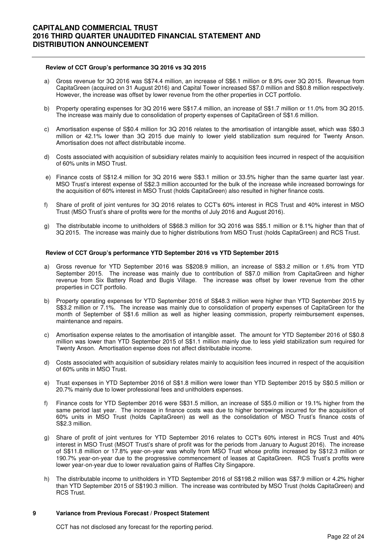### **Review of CCT Group's performance 3Q 2016 vs 3Q 2015**

- a) Gross revenue for 3Q 2016 was S\$74.4 million, an increase of S\$6.1 million or 8.9% over 3Q 2015. Revenue from CapitaGreen (acquired on 31 August 2016) and Capital Tower increased S\$7.0 million and S\$0.8 million respectively. However, the increase was offset by lower revenue from the other properties in CCT portfolio.
- b) Property operating expenses for 3Q 2016 were S\$17.4 million, an increase of S\$1.7 million or 11.0% from 3Q 2015. The increase was mainly due to consolidation of property expenses of CapitaGreen of S\$1.6 million.
- c) Amortisation expense of S\$0.4 million for 3Q 2016 relates to the amortisation of intangible asset, which was S\$0.3 million or 42.1% lower than 3Q 2015 due mainly to lower yield stabilization sum required for Twenty Anson. Amortisation does not affect distributable income.
- d) Costs associated with acquisition of subsidiary relates mainly to acquisition fees incurred in respect of the acquisition of 60% units in MSO Trust.
- e) Finance costs of S\$12.4 million for 3Q 2016 were S\$3.1 million or 33.5% higher than the same quarter last year. MSO Trust's interest expense of S\$2.3 million accounted for the bulk of the increase while increased borrowings for the acquisition of 60% interest in MSO Trust (holds CapitaGreen) also resulted in higher finance costs.
- f) Share of profit of joint ventures for 3Q 2016 relates to CCT's 60% interest in RCS Trust and 40% interest in MSO Trust (MSO Trust's share of profits were for the months of July 2016 and August 2016).
- g) The distributable income to unitholders of S\$68.3 million for 3Q 2016 was S\$5.1 million or 8.1% higher than that of 3Q 2015. The increase was mainly due to higher distributions from MSO Trust (holds CapitaGreen) and RCS Trust.

#### **Review of CCT Group's performance YTD September 2016 vs YTD September 2015**

- a) Gross revenue for YTD September 2016 was S\$208.9 million, an increase of S\$3.2 million or 1.6% from YTD September 2015. The increase was mainly due to contribution of S\$7.0 million from CapitaGreen and higher revenue from Six Battery Road and Bugis Village. The increase was offset by lower revenue from the other properties in CCT portfolio.
- b) Property operating expenses for YTD September 2016 of S\$48.3 million were higher than YTD September 2015 by S\$3.2 million or 7.1%. The increase was mainly due to consolidation of property expenses of CapitaGreen for the month of September of S\$1.6 million as well as higher leasing commission, property reimbursement expenses, maintenance and repairs.
- c) Amortisation expense relates to the amortisation of intangible asset. The amount for YTD September 2016 of S\$0.8 million was lower than YTD September 2015 of S\$1.1 million mainly due to less yield stabilization sum required for Twenty Anson. Amortisation expense does not affect distributable income.
- d) Costs associated with acquisition of subsidiary relates mainly to acquisition fees incurred in respect of the acquisition of 60% units in MSO Trust.
- e) Trust expenses in YTD September 2016 of S\$1.8 million were lower than YTD September 2015 by S\$0.5 million or 20.7% mainly due to lower professional fees and unitholders expenses.
- f) Finance costs for YTD September 2016 were S\$31.5 million, an increase of S\$5.0 million or 19.1% higher from the same period last year. The increase in finance costs was due to higher borrowings incurred for the acquisition of 60% units in MSO Trust (holds CapitaGreen) as well as the consolidation of MSO Trust's finance costs of S\$2.3 million.
- g) Share of profit of joint ventures for YTD September 2016 relates to CCT's 60% interest in RCS Trust and 40% interest in MSO Trust (MSOT Trust's share of profit was for the periods from January to August 2016). The increase of S\$11.8 million or 17.8% year-on-year was wholly from MSO Trust whose profits increased by S\$12.3 million or 190.7% year-on-year due to the progressive commencement of leases at CapitaGreen. RCS Trust's profits were lower year-on-year due to lower revaluation gains of Raffles City Singapore.
- h) The distributable income to unitholders in YTD September 2016 of S\$198.2 million was S\$7.9 million or 4.2% higher than YTD September 2015 of S\$190.3 million. The increase was contributed by MSO Trust (holds CapitaGreen) and RCS Trust.

#### **9 Variance from Previous Forecast / Prospect Statement**

CCT has not disclosed any forecast for the reporting period.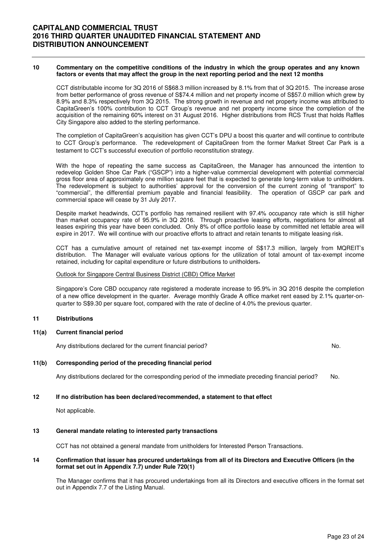#### **10 Commentary on the competitive conditions of the industry in which the group operates and any known factors or events that may affect the group in the next reporting period and the next 12 months**

CCT distributable income for 3Q 2016 of S\$68.3 million increased by 8.1% from that of 3Q 2015. The increase arose from better performance of gross revenue of S\$74.4 million and net property income of S\$57.0 million which grew by 8.9% and 8.3% respectively from 3Q 2015. The strong growth in revenue and net property income was attributed to CapitaGreen's 100% contribution to CCT Group's revenue and net property income since the completion of the acquisition of the remaining 60% interest on 31 August 2016. Higher distributions from RCS Trust that holds Raffles City Singapore also added to the sterling performance.

The completion of CapitaGreen's acquisition has given CCT's DPU a boost this quarter and will continue to contribute to CCT Group's performance. The redevelopment of CapitaGreen from the former Market Street Car Park is a testament to CCT's successful execution of portfolio reconstitution strategy.

With the hope of repeating the same success as CapitaGreen, the Manager has announced the intention to redevelop Golden Shoe Car Park ("GSCP") into a higher-value commercial development with potential commercial gross floor area of approximately one million square feet that is expected to generate long-term value to unitholders. The redevelopment is subject to authorities' approval for the conversion of the current zoning of "transport" to "commercial", the differential premium payable and financial feasibility. The operation of GSCP car park and commercial space will cease by 31 July 2017.

 Despite market headwinds, CCT's portfolio has remained resilient with 97.4% occupancy rate which is still higher than market occupancy rate of 95.9% in 3Q 2016. Through proactive leasing efforts, negotiations for almost all leases expiring this year have been concluded. Only 8% of office portfolio lease by committed net lettable area will expire in 2017. We will continue with our proactive efforts to attract and retain tenants to mitigate leasing risk.

CCT has a cumulative amount of retained net tax-exempt income of S\$17.3 million, largely from MQREIT's distribution. The Manager will evaluate various options for the utilization of total amount of tax-exempt income retained, including for capital expenditure or future distributions to unitholders.

### Outlook for Singapore Central Business District (CBD) Office Market

Singapore's Core CBD occupancy rate registered a moderate increase to 95.9% in 3Q 2016 despite the completion of a new office development in the quarter. Average monthly Grade A office market rent eased by 2.1% quarter-onquarter to S\$9.30 per square foot, compared with the rate of decline of 4.0% the previous quarter.

## **11 Distributions**

## **11(a) Current financial period**

Any distributions declared for the current financial period? No.

## **11(b) Corresponding period of the preceding financial period**

Any distributions declared for the corresponding period of the immediate preceding financial period? No.

### **12 If no distribution has been declared/recommended, a statement to that effect**

Not applicable.

### **13 General mandate relating to interested party transactions**

CCT has not obtained a general mandate from unitholders for Interested Person Transactions.

### **14 Confirmation that issuer has procured undertakings from all of its Directors and Executive Officers (in the format set out in Appendix 7.7) under Rule 720(1)**

The Manager confirms that it has procured undertakings from all its Directors and executive officers in the format set out in Appendix 7.7 of the Listing Manual.